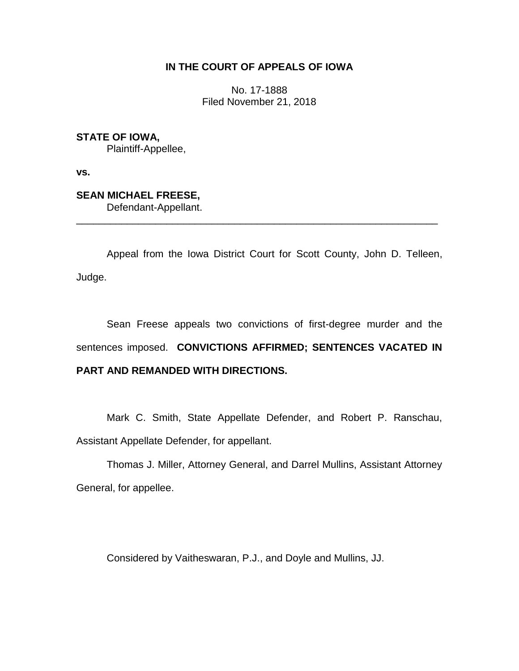# **IN THE COURT OF APPEALS OF IOWA**

No. 17-1888 Filed November 21, 2018

**STATE OF IOWA,** Plaintiff-Appellee,

**vs.**

**SEAN MICHAEL FREESE,** Defendant-Appellant.

Appeal from the Iowa District Court for Scott County, John D. Telleen, Judge.

\_\_\_\_\_\_\_\_\_\_\_\_\_\_\_\_\_\_\_\_\_\_\_\_\_\_\_\_\_\_\_\_\_\_\_\_\_\_\_\_\_\_\_\_\_\_\_\_\_\_\_\_\_\_\_\_\_\_\_\_\_\_\_\_

Sean Freese appeals two convictions of first-degree murder and the sentences imposed. **CONVICTIONS AFFIRMED; SENTENCES VACATED IN PART AND REMANDED WITH DIRECTIONS.** 

Mark C. Smith, State Appellate Defender, and Robert P. Ranschau, Assistant Appellate Defender, for appellant.

Thomas J. Miller, Attorney General, and Darrel Mullins, Assistant Attorney General, for appellee.

Considered by Vaitheswaran, P.J., and Doyle and Mullins, JJ.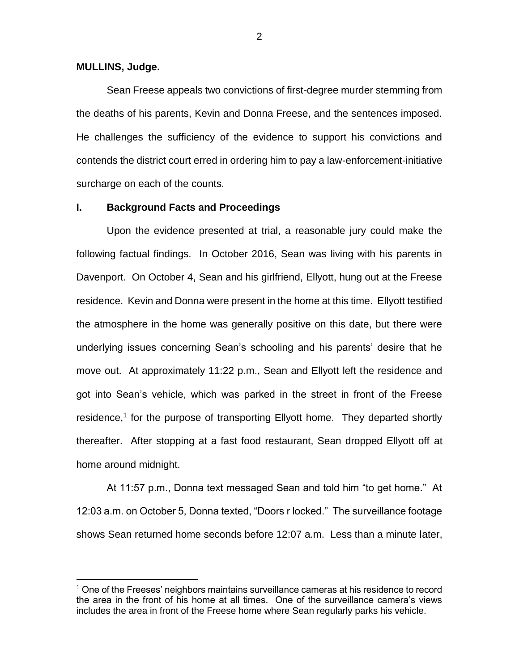### **MULLINS, Judge.**

 $\overline{a}$ 

Sean Freese appeals two convictions of first-degree murder stemming from the deaths of his parents, Kevin and Donna Freese, and the sentences imposed. He challenges the sufficiency of the evidence to support his convictions and contends the district court erred in ordering him to pay a law-enforcement-initiative surcharge on each of the counts.

## **I. Background Facts and Proceedings**

Upon the evidence presented at trial, a reasonable jury could make the following factual findings. In October 2016, Sean was living with his parents in Davenport. On October 4, Sean and his girlfriend, Ellyott, hung out at the Freese residence. Kevin and Donna were present in the home at this time. Ellyott testified the atmosphere in the home was generally positive on this date, but there were underlying issues concerning Sean's schooling and his parents' desire that he move out. At approximately 11:22 p.m., Sean and Ellyott left the residence and got into Sean's vehicle, which was parked in the street in front of the Freese residence,<sup>1</sup> for the purpose of transporting Ellyott home. They departed shortly thereafter. After stopping at a fast food restaurant, Sean dropped Ellyott off at home around midnight.

At 11:57 p.m., Donna text messaged Sean and told him "to get home." At 12:03 a.m. on October 5, Donna texted, "Doors r locked." The surveillance footage shows Sean returned home seconds before 12:07 a.m. Less than a minute later,

2

<sup>1</sup> One of the Freeses' neighbors maintains surveillance cameras at his residence to record the area in the front of his home at all times. One of the surveillance camera's views includes the area in front of the Freese home where Sean regularly parks his vehicle.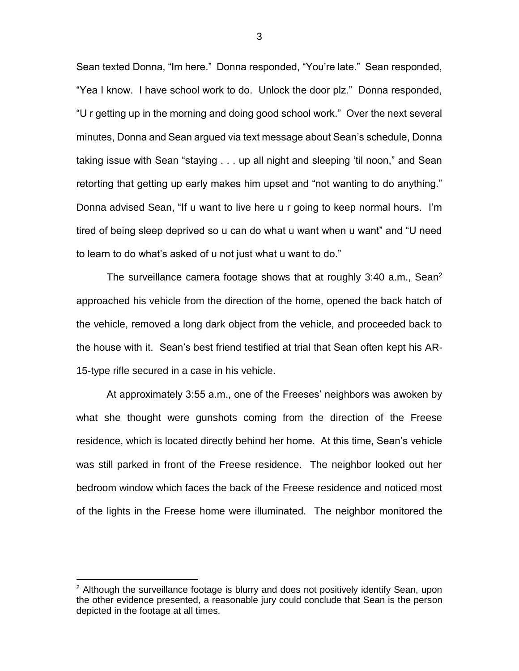Sean texted Donna, "Im here." Donna responded, "You're late." Sean responded, "Yea I know. I have school work to do. Unlock the door plz." Donna responded, "U r getting up in the morning and doing good school work." Over the next several minutes, Donna and Sean argued via text message about Sean's schedule, Donna taking issue with Sean "staying . . . up all night and sleeping 'til noon," and Sean retorting that getting up early makes him upset and "not wanting to do anything." Donna advised Sean, "If u want to live here u r going to keep normal hours. I'm tired of being sleep deprived so u can do what u want when u want" and "U need to learn to do what's asked of u not just what u want to do."

The surveillance camera footage shows that at roughly 3:40 a.m., Sean<sup>2</sup> approached his vehicle from the direction of the home, opened the back hatch of the vehicle, removed a long dark object from the vehicle, and proceeded back to the house with it. Sean's best friend testified at trial that Sean often kept his AR-15-type rifle secured in a case in his vehicle.

At approximately 3:55 a.m., one of the Freeses' neighbors was awoken by what she thought were gunshots coming from the direction of the Freese residence, which is located directly behind her home. At this time, Sean's vehicle was still parked in front of the Freese residence. The neighbor looked out her bedroom window which faces the back of the Freese residence and noticed most of the lights in the Freese home were illuminated. The neighbor monitored the

 $\overline{a}$ 

 $2$  Although the surveillance footage is blurry and does not positively identify Sean, upon the other evidence presented, a reasonable jury could conclude that Sean is the person depicted in the footage at all times.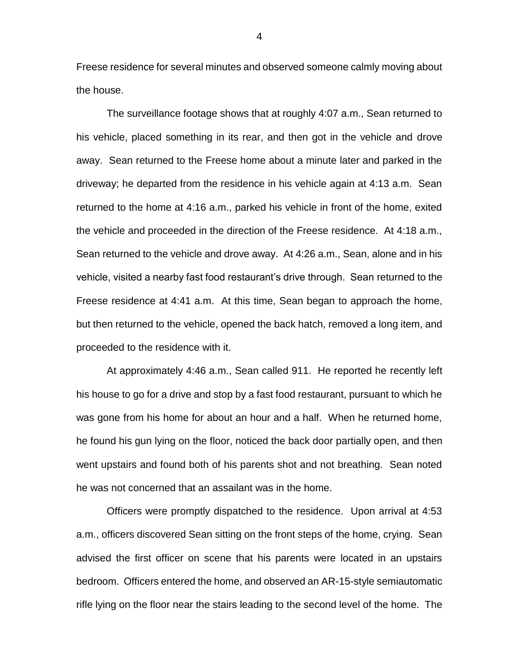Freese residence for several minutes and observed someone calmly moving about the house.

The surveillance footage shows that at roughly 4:07 a.m., Sean returned to his vehicle, placed something in its rear, and then got in the vehicle and drove away. Sean returned to the Freese home about a minute later and parked in the driveway; he departed from the residence in his vehicle again at 4:13 a.m. Sean returned to the home at 4:16 a.m., parked his vehicle in front of the home, exited the vehicle and proceeded in the direction of the Freese residence. At 4:18 a.m., Sean returned to the vehicle and drove away. At 4:26 a.m., Sean, alone and in his vehicle, visited a nearby fast food restaurant's drive through. Sean returned to the Freese residence at 4:41 a.m. At this time, Sean began to approach the home, but then returned to the vehicle, opened the back hatch, removed a long item, and proceeded to the residence with it.

At approximately 4:46 a.m., Sean called 911. He reported he recently left his house to go for a drive and stop by a fast food restaurant, pursuant to which he was gone from his home for about an hour and a half. When he returned home, he found his gun lying on the floor, noticed the back door partially open, and then went upstairs and found both of his parents shot and not breathing. Sean noted he was not concerned that an assailant was in the home.

Officers were promptly dispatched to the residence. Upon arrival at 4:53 a.m., officers discovered Sean sitting on the front steps of the home, crying. Sean advised the first officer on scene that his parents were located in an upstairs bedroom. Officers entered the home, and observed an AR-15-style semiautomatic rifle lying on the floor near the stairs leading to the second level of the home. The

4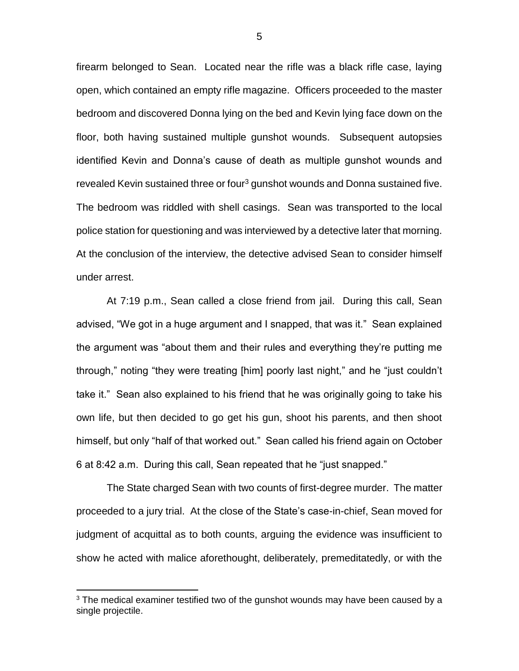firearm belonged to Sean. Located near the rifle was a black rifle case, laying open, which contained an empty rifle magazine. Officers proceeded to the master bedroom and discovered Donna lying on the bed and Kevin lying face down on the floor, both having sustained multiple gunshot wounds. Subsequent autopsies identified Kevin and Donna's cause of death as multiple gunshot wounds and revealed Kevin sustained three or four<sup>3</sup> gunshot wounds and Donna sustained five. The bedroom was riddled with shell casings. Sean was transported to the local police station for questioning and was interviewed by a detective later that morning. At the conclusion of the interview, the detective advised Sean to consider himself under arrest.

At 7:19 p.m., Sean called a close friend from jail. During this call, Sean advised, "We got in a huge argument and I snapped, that was it." Sean explained the argument was "about them and their rules and everything they're putting me through," noting "they were treating [him] poorly last night," and he "just couldn't take it." Sean also explained to his friend that he was originally going to take his own life, but then decided to go get his gun, shoot his parents, and then shoot himself, but only "half of that worked out." Sean called his friend again on October 6 at 8:42 a.m. During this call, Sean repeated that he "just snapped."

The State charged Sean with two counts of first-degree murder. The matter proceeded to a jury trial. At the close of the State's case-in-chief, Sean moved for judgment of acquittal as to both counts, arguing the evidence was insufficient to show he acted with malice aforethought, deliberately, premeditatedly, or with the

 $\overline{a}$ 

 $3$  The medical examiner testified two of the gunshot wounds may have been caused by a single projectile.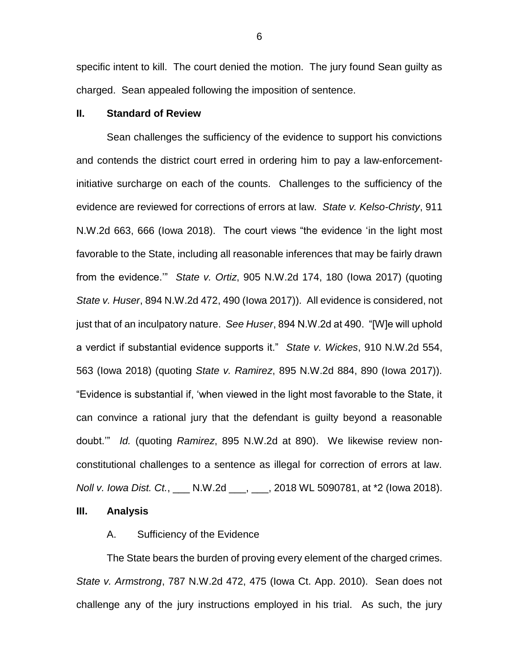specific intent to kill. The court denied the motion. The jury found Sean guilty as charged. Sean appealed following the imposition of sentence.

## **II. Standard of Review**

Sean challenges the sufficiency of the evidence to support his convictions and contends the district court erred in ordering him to pay a law-enforcementinitiative surcharge on each of the counts. Challenges to the sufficiency of the evidence are reviewed for corrections of errors at law. *State v. Kelso-Christy*, 911 N.W.2d 663, 666 (Iowa 2018).The court views "the evidence 'in the light most favorable to the State, including all reasonable inferences that may be fairly drawn from the evidence.'" *State v. Ortiz*, 905 N.W.2d 174, 180 (Iowa 2017) (quoting *State v. Huser*, 894 N.W.2d 472, 490 (Iowa 2017)). All evidence is considered, not just that of an inculpatory nature. *See Huser*, 894 N.W.2d at 490. "[W]e will uphold a verdict if substantial evidence supports it." *State v. Wickes*, 910 N.W.2d 554, 563 (Iowa 2018) (quoting *State v. Ramirez*, 895 N.W.2d 884, 890 (Iowa 2017)). "Evidence is substantial if, 'when viewed in the light most favorable to the State, it can convince a rational jury that the defendant is guilty beyond a reasonable doubt.'" *Id.* (quoting *Ramirez*, 895 N.W.2d at 890). We likewise review nonconstitutional challenges to a sentence as illegal for correction of errors at law. *Noll v. Iowa Dist. Ct.*, \_\_\_ N.W.2d \_\_\_, \_\_\_, 2018 WL 5090781, at \*2 (Iowa 2018).

**III. Analysis**

## A. Sufficiency of the Evidence

The State bears the burden of proving every element of the charged crimes. *State v. Armstrong*, 787 N.W.2d 472, 475 (Iowa Ct. App. 2010). Sean does not challenge any of the jury instructions employed in his trial. As such, the jury

6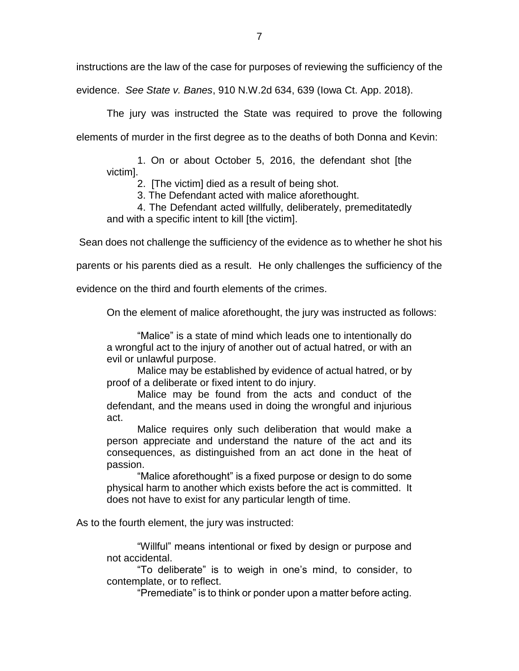instructions are the law of the case for purposes of reviewing the sufficiency of the

evidence. *See State v. Banes*, 910 N.W.2d 634, 639 (Iowa Ct. App. 2018).

The jury was instructed the State was required to prove the following elements of murder in the first degree as to the deaths of both Donna and Kevin:

1. On or about October 5, 2016, the defendant shot [the victim].

2. [The victim] died as a result of being shot.

3. The Defendant acted with malice aforethought.

4. The Defendant acted willfully, deliberately, premeditatedly and with a specific intent to kill [the victim].

Sean does not challenge the sufficiency of the evidence as to whether he shot his

parents or his parents died as a result. He only challenges the sufficiency of the

evidence on the third and fourth elements of the crimes.

On the element of malice aforethought, the jury was instructed as follows:

"Malice" is a state of mind which leads one to intentionally do a wrongful act to the injury of another out of actual hatred, or with an evil or unlawful purpose.

Malice may be established by evidence of actual hatred, or by proof of a deliberate or fixed intent to do injury.

Malice may be found from the acts and conduct of the defendant, and the means used in doing the wrongful and injurious act.

Malice requires only such deliberation that would make a person appreciate and understand the nature of the act and its consequences, as distinguished from an act done in the heat of passion.

"Malice aforethought" is a fixed purpose or design to do some physical harm to another which exists before the act is committed. It does not have to exist for any particular length of time.

As to the fourth element, the jury was instructed:

"Willful" means intentional or fixed by design or purpose and not accidental.

"To deliberate" is to weigh in one's mind, to consider, to contemplate, or to reflect.

"Premediate" is to think or ponder upon a matter before acting.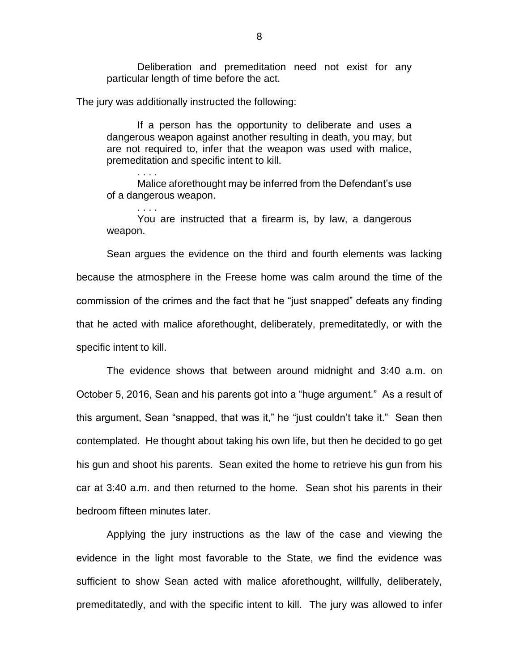Deliberation and premeditation need not exist for any particular length of time before the act.

The jury was additionally instructed the following:

. . . .

. . . .

If a person has the opportunity to deliberate and uses a dangerous weapon against another resulting in death, you may, but are not required to, infer that the weapon was used with malice, premeditation and specific intent to kill.

Malice aforethought may be inferred from the Defendant's use of a dangerous weapon.

You are instructed that a firearm is, by law, a dangerous weapon.

Sean argues the evidence on the third and fourth elements was lacking because the atmosphere in the Freese home was calm around the time of the commission of the crimes and the fact that he "just snapped" defeats any finding that he acted with malice aforethought, deliberately, premeditatedly, or with the specific intent to kill.

The evidence shows that between around midnight and 3:40 a.m. on October 5, 2016, Sean and his parents got into a "huge argument." As a result of this argument, Sean "snapped, that was it," he "just couldn't take it." Sean then contemplated. He thought about taking his own life, but then he decided to go get his gun and shoot his parents. Sean exited the home to retrieve his gun from his car at 3:40 a.m. and then returned to the home. Sean shot his parents in their bedroom fifteen minutes later.

Applying the jury instructions as the law of the case and viewing the evidence in the light most favorable to the State, we find the evidence was sufficient to show Sean acted with malice aforethought, willfully, deliberately, premeditatedly, and with the specific intent to kill. The jury was allowed to infer